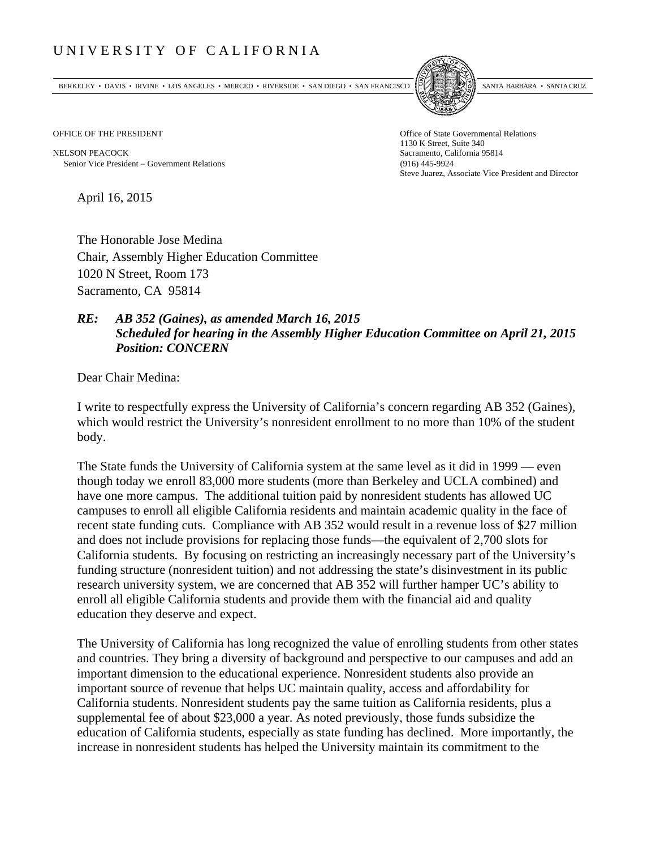## UNIVERSITY OF CALIFORNIA

BERKELEY • DAVIS • IRVINE • LOS ANGELES • MERCED • RIVERSIDE • SAN DIEGO • SAN FRANCISCO SANTA BARBARA • SANTA CRUZ



1130 K Street, Suite 340 Steve Juarez, Associate Vice President and Director

OFFICE OF THE PRESIDENT STATES OF THE PRESIDENT

NELSON PEACOCK Sacramento, California 95814 Senior Vice President Government Relations (916) 445-9924

April 16, 2015

The Honorable Jose Medina Chair, Assembly Higher Education Committee 1020 N Street, Room 173 Sacramento, CA 95814

## *RE: AB 352 (Gaines), as amended March 16, 2015 Scheduled for hearing in the Assembly Higher Education Committee on April 21, 2015 Position: CONCERN*

Dear Chair Medina:

I write to respectfully express the University of California's concern regarding AB 352 (Gaines), which would restrict the University's nonresident enrollment to no more than 10% of the student body.

The State funds the University of California system at the same level as it did in 1999 — even though today we enroll 83,000 more students (more than Berkeley and UCLA combined) and have one more campus. The additional tuition paid by nonresident students has allowed UC campuses to enroll all eligible California residents and maintain academic quality in the face of recent state funding cuts. Compliance with AB 352 would result in a revenue loss of \$27 million and does not include provisions for replacing those funds—the equivalent of 2,700 slots for California students. By focusing on restricting an increasingly necessary part of the University's funding structure (nonresident tuition) and not addressing the state's disinvestment in its public research university system, we are concerned that AB 352 will further hamper UC's ability to enroll all eligible California students and provide them with the financial aid and quality education they deserve and expect.

The University of California has long recognized the value of enrolling students from other states and countries. They bring a diversity of background and perspective to our campuses and add an important dimension to the educational experience. Nonresident students also provide an important source of revenue that helps UC maintain quality, access and affordability for California students. Nonresident students pay the same tuition as California residents, plus a supplemental fee of about \$23,000 a year. As noted previously, those funds subsidize the education of California students, especially as state funding has declined. More importantly, the increase in nonresident students has helped the University maintain its commitment to the